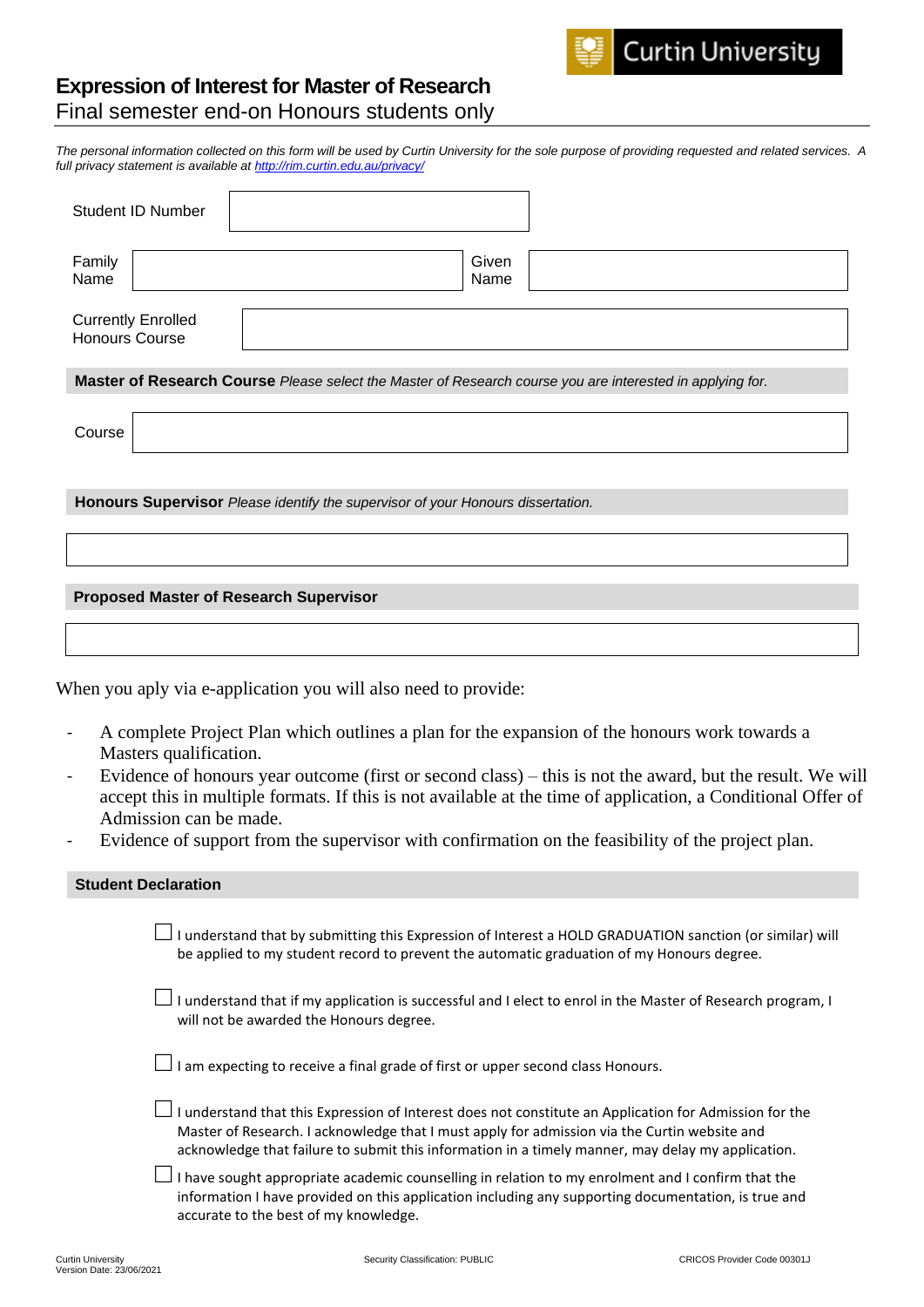## **Expression of Interest for Master of Research**

Final semester end-on Honours students only

*The personal information collected on this form will be used by Curtin University for the sole purpose of providing requested and related services. A full privacy statement is available at http://rim.curtin.edu.au/privacy/*

| Student ID Number                                  |                                                                                                           |               |                                                                                                                                                                                                                           |
|----------------------------------------------------|-----------------------------------------------------------------------------------------------------------|---------------|---------------------------------------------------------------------------------------------------------------------------------------------------------------------------------------------------------------------------|
| Family<br>Name                                     |                                                                                                           | Given<br>Name |                                                                                                                                                                                                                           |
| <b>Currently Enrolled</b><br><b>Honours Course</b> |                                                                                                           |               |                                                                                                                                                                                                                           |
|                                                    | Master of Research Course Please select the Master of Research course you are interested in applying for. |               |                                                                                                                                                                                                                           |
| Course                                             |                                                                                                           |               |                                                                                                                                                                                                                           |
|                                                    | Honours Supervisor Please identify the supervisor of your Honours dissertation.                           |               |                                                                                                                                                                                                                           |
|                                                    | <b>Proposed Master of Research Supervisor</b>                                                             |               |                                                                                                                                                                                                                           |
|                                                    |                                                                                                           |               |                                                                                                                                                                                                                           |
|                                                    | When you aply via e-application you will also need to provide:                                            |               |                                                                                                                                                                                                                           |
| Masters qualification.                             |                                                                                                           |               | A complete Project Plan which outlines a plan for the expansion of the honours work towards a                                                                                                                             |
| Admission can be made.                             |                                                                                                           |               | Evidence of honours year outcome (first or second class) – this is not the award, but the result. We will<br>accept this in multiple formats. If this is not available at the time of application, a Conditional Offer of |
|                                                    |                                                                                                           |               | Evidence of support from the supervisor with confirmation on the feasibility of the project plan.                                                                                                                         |
| <b>Student Declaration</b>                         |                                                                                                           |               |                                                                                                                                                                                                                           |
|                                                    | be applied to my student record to prevent the automatic graduation of my Honours degree.                 |               | $\Box$ I understand that by submitting this Expression of Interest a HOLD GRADUATION sanction (or similar) will                                                                                                           |
|                                                    | will not be awarded the Honours degree.                                                                   |               | I understand that if my application is successful and I elect to enrol in the Master of Research program, I                                                                                                               |
|                                                    | I am expecting to receive a final grade of first or upper second class Honours.                           |               |                                                                                                                                                                                                                           |

 $\Box$  I understand that this Expression of Interest does not constitute an Application for Admission for the Master of Research. I acknowledge that I must apply for admission via the Curtin website and acknowledge that failure to submit this information in a timely manner, may delay my application.

 $\Box$  I have sought appropriate academic counselling in relation to my enrolment and I confirm that the information I have provided on this application including any supporting documentation, is true and accurate to the best of my knowledge.

**Curtin University**